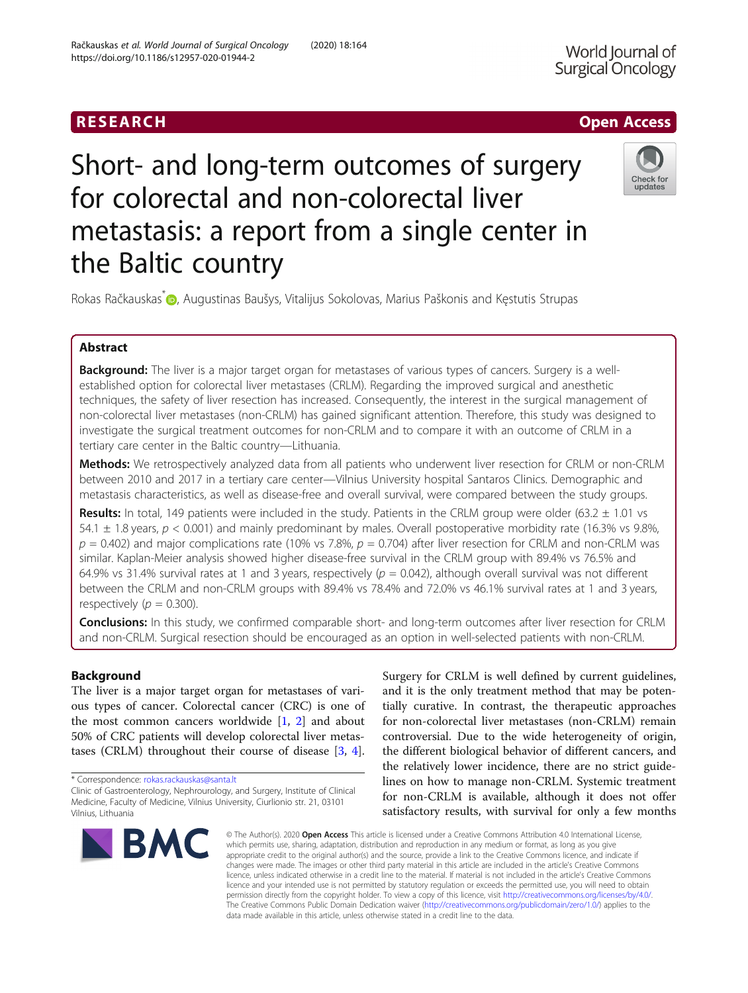# **RESEARCH CHILD CONTROL** CONTROL CONTROL CONTROL CONTROL CONTROL CONTROL CONTROL CONTROL CONTROL CONTROL CONTROL Short- and long-term outcomes of surgery for colorectal and non-colorectal liver metastasis: a report from a single center in

Rokas Račkauskas<sup>\*</sup> (D. Augustinas Baušys[,](http://orcid.org/0000-0002-6116-2930) Vitalijus Sokolovas, Marius Paškonis and Kęstutis Strupas

# Abstract

Background: The liver is a major target organ for metastases of various types of cancers. Surgery is a wellestablished option for colorectal liver metastases (CRLM). Regarding the improved surgical and anesthetic techniques, the safety of liver resection has increased. Consequently, the interest in the surgical management of non-colorectal liver metastases (non-CRLM) has gained significant attention. Therefore, this study was designed to investigate the surgical treatment outcomes for non-CRLM and to compare it with an outcome of CRLM in a tertiary care center in the Baltic country—Lithuania.

Methods: We retrospectively analyzed data from all patients who underwent liver resection for CRLM or non-CRLM between 2010 and 2017 in a tertiary care center—Vilnius University hospital Santaros Clinics. Demographic and metastasis characteristics, as well as disease-free and overall survival, were compared between the study groups.

Results: In total, 149 patients were included in the study. Patients in the CRLM group were older (63.2  $\pm$  1.01 vs 54.1  $\pm$  1.8 years,  $p < 0.001$ ) and mainly predominant by males. Overall postoperative morbidity rate (16.3% vs 9.8%,  $p = 0.402$ ) and major complications rate (10% vs 7.8%,  $p = 0.704$ ) after liver resection for CRLM and non-CRLM was similar. Kaplan-Meier analysis showed higher disease-free survival in the CRLM group with 89.4% vs 76.5% and 64.9% vs 31.4% survival rates at 1 and 3 years, respectively ( $p = 0.042$ ), although overall survival was not different between the CRLM and non-CRLM groups with 89.4% vs 78.4% and 72.0% vs 46.1% survival rates at 1 and 3 years, respectively ( $p = 0.300$ ).

Conclusions: In this study, we confirmed comparable short- and long-term outcomes after liver resection for CRLM and non-CRLM. Surgical resection should be encouraged as an option in well-selected patients with non-CRLM.

# Background

The liver is a major target organ for metastases of various types of cancer. Colorectal cancer (CRC) is one of the most common cancers worldwide  $[1, 2]$  $[1, 2]$  $[1, 2]$  $[1, 2]$  and about 50% of CRC patients will develop colorectal liver metastases (CRLM) throughout their course of disease [\[3](#page-4-0), [4](#page-4-0)].

Clinic of Gastroenterology, Nephrourology, and Surgery, Institute of Clinical Medicine, Faculty of Medicine, Vilnius University, Ciurlionio str. 21, 03101 Vilnius, Lithuania

tially curative. In contrast, the therapeutic approaches for non-colorectal liver metastases (non-CRLM) remain controversial. Due to the wide heterogeneity of origin, the different biological behavior of different cancers, and the relatively lower incidence, there are no strict guidelines on how to manage non-CRLM. Systemic treatment for non-CRLM is available, although it does not offer satisfactory results, with survival for only a few months © The Author(s), 2020 **Open Access** This article is licensed under a Creative Commons Attribution 4.0 International License,

Surgery for CRLM is well defined by current guidelines, and it is the only treatment method that may be poten-

which permits use, sharing, adaptation, distribution and reproduction in any medium or format, as long as you give appropriate credit to the original author(s) and the source, provide a link to the Creative Commons licence, and indicate if changes were made. The images or other third party material in this article are included in the article's Creative Commons licence, unless indicated otherwise in a credit line to the material. If material is not included in the article's Creative Commons licence and your intended use is not permitted by statutory regulation or exceeds the permitted use, you will need to obtain permission directly from the copyright holder. To view a copy of this licence, visit [http://creativecommons.org/licenses/by/4.0/.](http://creativecommons.org/licenses/by/4.0/) The Creative Commons Public Domain Dedication waiver [\(http://creativecommons.org/publicdomain/zero/1.0/](http://creativecommons.org/publicdomain/zero/1.0/)) applies to the data made available in this article, unless otherwise stated in a credit line to the data.

\* Correspondence: [rokas.rackauskas@santa.lt](mailto:rokas.rackauskas@santa.lt)

**BMC** 

the Baltic country



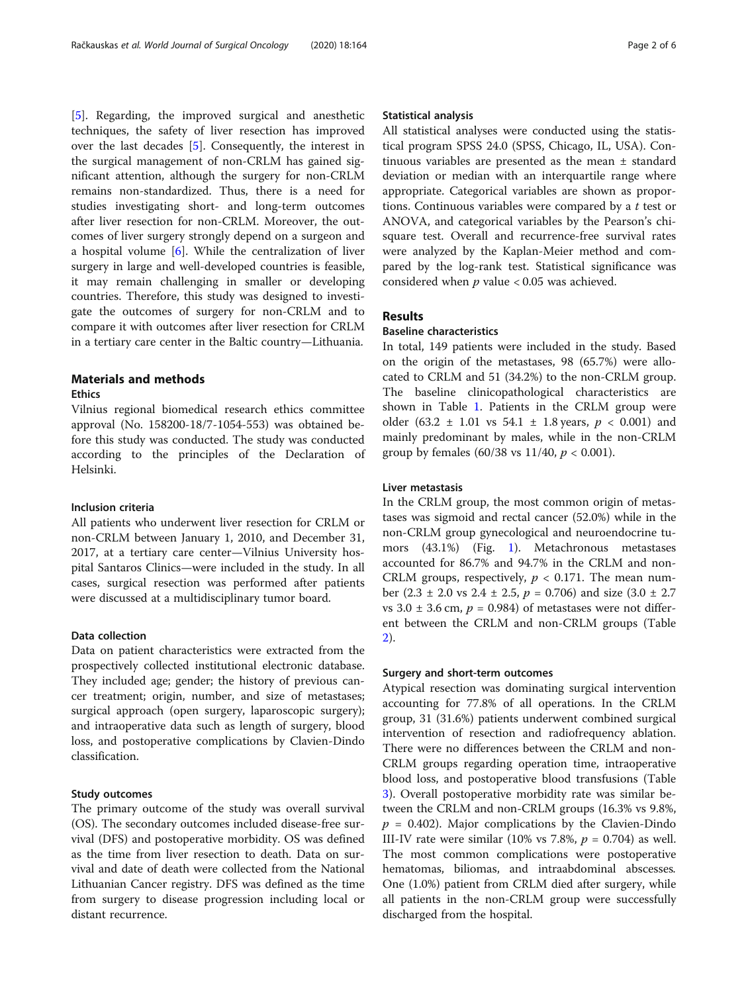[[5\]](#page-4-0). Regarding, the improved surgical and anesthetic techniques, the safety of liver resection has improved over the last decades [[5](#page-4-0)]. Consequently, the interest in the surgical management of non-CRLM has gained significant attention, although the surgery for non-CRLM remains non-standardized. Thus, there is a need for studies investigating short- and long-term outcomes after liver resection for non-CRLM. Moreover, the outcomes of liver surgery strongly depend on a surgeon and a hospital volume [[6\]](#page-4-0). While the centralization of liver surgery in large and well-developed countries is feasible, it may remain challenging in smaller or developing countries. Therefore, this study was designed to investigate the outcomes of surgery for non-CRLM and to compare it with outcomes after liver resection for CRLM in a tertiary care center in the Baltic country—Lithuania.

# Materials and methods

#### **Ethics**

Vilnius regional biomedical research ethics committee approval (No. 158200-18/7-1054-553) was obtained before this study was conducted. The study was conducted according to the principles of the Declaration of Helsinki.

## Inclusion criteria

All patients who underwent liver resection for CRLM or non-CRLM between January 1, 2010, and December 31, 2017, at a tertiary care center—Vilnius University hospital Santaros Clinics—were included in the study. In all cases, surgical resection was performed after patients were discussed at a multidisciplinary tumor board.

## Data collection

Data on patient characteristics were extracted from the prospectively collected institutional electronic database. They included age; gender; the history of previous cancer treatment; origin, number, and size of metastases; surgical approach (open surgery, laparoscopic surgery); and intraoperative data such as length of surgery, blood loss, and postoperative complications by Clavien-Dindo classification.

## Study outcomes

The primary outcome of the study was overall survival (OS). The secondary outcomes included disease-free survival (DFS) and postoperative morbidity. OS was defined as the time from liver resection to death. Data on survival and date of death were collected from the National Lithuanian Cancer registry. DFS was defined as the time from surgery to disease progression including local or distant recurrence.

## Statistical analysis

All statistical analyses were conducted using the statistical program SPSS 24.0 (SPSS, Chicago, IL, USA). Continuous variables are presented as the mean ± standard deviation or median with an interquartile range where appropriate. Categorical variables are shown as proportions. Continuous variables were compared by a  $t$  test or ANOVA, and categorical variables by the Pearson's chisquare test. Overall and recurrence-free survival rates were analyzed by the Kaplan-Meier method and compared by the log-rank test. Statistical significance was considered when  $p$  value < 0.05 was achieved.

## Results

## Baseline characteristics

In total, 149 patients were included in the study. Based on the origin of the metastases, 98 (65.7%) were allocated to CRLM and 51 (34.2%) to the non-CRLM group. The baseline clinicopathological characteristics are shown in Table [1](#page-2-0). Patients in the CRLM group were older (63.2  $\pm$  1.01 vs 54.1  $\pm$  1.8 years,  $p < 0.001$ ) and mainly predominant by males, while in the non-CRLM group by females (60/38 vs 11/40,  $p < 0.001$ ).

## Liver metastasis

In the CRLM group, the most common origin of metastases was sigmoid and rectal cancer (52.0%) while in the non-CRLM group gynecological and neuroendocrine tumors (43.1%) (Fig. [1\)](#page-2-0). Metachronous metastases accounted for 86.7% and 94.7% in the CRLM and non-CRLM groups, respectively,  $p < 0.171$ . The mean number (2.3  $\pm$  2.0 vs 2.4  $\pm$  2.5,  $p = 0.706$ ) and size (3.0  $\pm$  2.7 vs  $3.0 \pm 3.6$  cm,  $p = 0.984$ ) of metastases were not different between the CRLM and non-CRLM groups (Table [2\)](#page-3-0).

## Surgery and short-term outcomes

Atypical resection was dominating surgical intervention accounting for 77.8% of all operations. In the CRLM group, 31 (31.6%) patients underwent combined surgical intervention of resection and radiofrequency ablation. There were no differences between the CRLM and non-CRLM groups regarding operation time, intraoperative blood loss, and postoperative blood transfusions (Table [3\)](#page-3-0). Overall postoperative morbidity rate was similar between the CRLM and non-CRLM groups (16.3% vs 9.8%,  $p = 0.402$ ). Major complications by the Clavien-Dindo III-IV rate were similar (10% vs 7.8%,  $p = 0.704$ ) as well. The most common complications were postoperative hematomas, biliomas, and intraabdominal abscesses. One (1.0%) patient from CRLM died after surgery, while all patients in the non-CRLM group were successfully discharged from the hospital.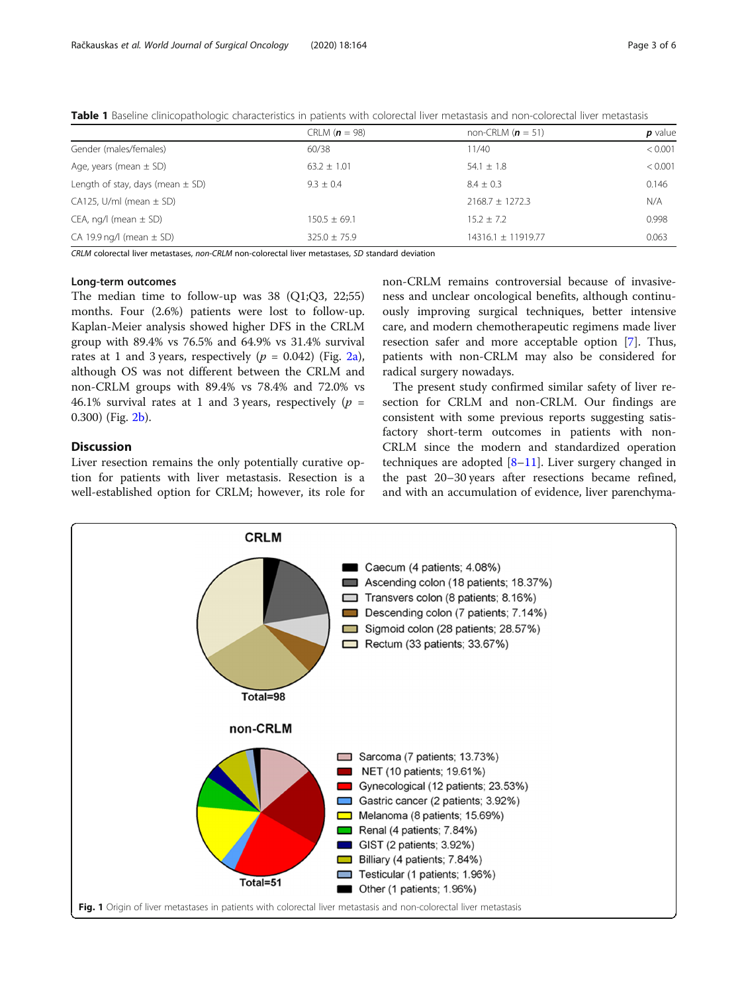<span id="page-2-0"></span>Table 1 Baseline clinicopathologic characteristics in patients with colorectal liver metastasis and non-colorectal liver metastasis

|                                      | CRLM ( $n = 98$ ) | non-CRLM $(n = 51)$    | p value |
|--------------------------------------|-------------------|------------------------|---------|
| Gender (males/females)               | 60/38             | 11/40                  | < 0.001 |
| Age, years (mean $\pm$ SD)           | $63.2 \pm 1.01$   | 54.1 $\pm$ 1.8         | < 0.001 |
| Length of stay, days (mean $\pm$ SD) | $9.3 + 0.4$       | $8.4 + 0.3$            | 0.146   |
| $CA125$ , U/ml (mean $\pm$ SD)       |                   | $2168.7 \pm 1272.3$    | N/A     |
| CEA, ng/l (mean $\pm$ SD)            | $150.5 \pm 69.1$  | $15.2 + 7.2$           | 0.998   |
| CA 19.9 ng/l (mean $\pm$ SD)         | $325.0 \pm 75.9$  | $14316.1 \pm 11919.77$ | 0.063   |

CRLM colorectal liver metastases, non-CRLM non-colorectal liver metastases, SD standard deviation

# Long-term outcomes

The median time to follow-up was 38 (Q1;Q3, 22;55) months. Four (2.6%) patients were lost to follow-up. Kaplan-Meier analysis showed higher DFS in the CRLM group with 89.4% vs 76.5% and 64.9% vs 31.4% survival rates at 1 and 3 years, respectively ( $p = 0.042$ ) (Fig. [2a](#page-4-0)), although OS was not different between the CRLM and non-CRLM groups with 89.4% vs 78.4% and 72.0% vs 46.1% survival rates at 1 and 3 years, respectively ( $p =$ 0.300) (Fig. [2b](#page-4-0)).

## **Discussion**

Liver resection remains the only potentially curative option for patients with liver metastasis. Resection is a well-established option for CRLM; however, its role for non-CRLM remains controversial because of invasiveness and unclear oncological benefits, although continuously improving surgical techniques, better intensive care, and modern chemotherapeutic regimens made liver resection safer and more acceptable option [\[7](#page-4-0)]. Thus, patients with non-CRLM may also be considered for radical surgery nowadays.

The present study confirmed similar safety of liver resection for CRLM and non-CRLM. Our findings are consistent with some previous reports suggesting satisfactory short-term outcomes in patients with non-CRLM since the modern and standardized operation techniques are adopted  $[8-11]$  $[8-11]$  $[8-11]$  $[8-11]$ . Liver surgery changed in the past 20–30 years after resections became refined, and with an accumulation of evidence, liver parenchyma-

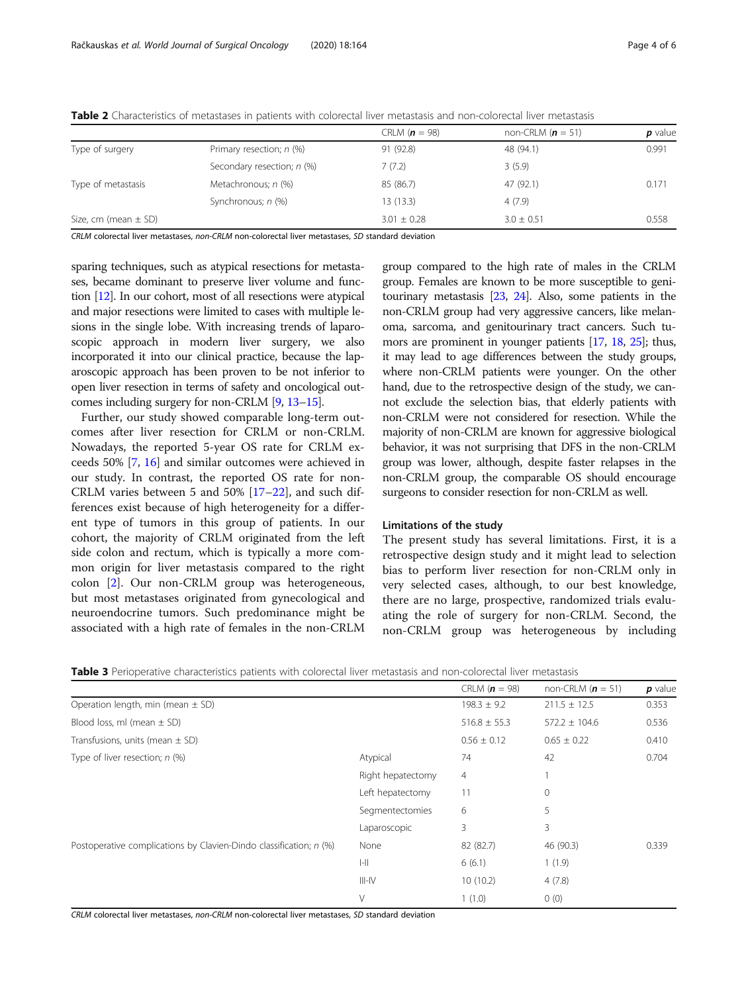|                          |                            | CRLM $(n = 98)$ | non-CRLM ( $n = 51$ ) | p value |
|--------------------------|----------------------------|-----------------|-----------------------|---------|
| Type of surgery          | Primary resection; n (%)   | 91 (92.8)       | 48 (94.1)             | 0.991   |
|                          | Secondary resection; n (%) | 7(7.2)          | 3(5.9)                |         |
| Type of metastasis       | Metachronous; n (%)        | 85 (86.7)       | 47 (92.1)             | 0.171   |
|                          | Synchronous; n (%)         | 13 (13.3)       | 4(7.9)                |         |
| Size, cm (mean $\pm$ SD) |                            | $3.01 \pm 0.28$ | $3.0 \pm 0.51$        | 0.558   |
|                          |                            |                 |                       |         |

<span id="page-3-0"></span>Table 2 Characteristics of metastases in patients with colorectal liver metastasis and non-colorectal liver metastasis

CRLM colorectal liver metastases, non-CRLM non-colorectal liver metastases, SD standard deviation

sparing techniques, such as atypical resections for metastases, became dominant to preserve liver volume and function [\[12](#page-5-0)]. In our cohort, most of all resections were atypical and major resections were limited to cases with multiple lesions in the single lobe. With increasing trends of laparoscopic approach in modern liver surgery, we also incorporated it into our clinical practice, because the laparoscopic approach has been proven to be not inferior to open liver resection in terms of safety and oncological outcomes including surgery for non-CRLM [\[9,](#page-4-0) [13](#page-5-0)–[15](#page-5-0)].

Further, our study showed comparable long-term outcomes after liver resection for CRLM or non-CRLM. Nowadays, the reported 5-year OS rate for CRLM exceeds 50% [[7,](#page-4-0) [16\]](#page-5-0) and similar outcomes were achieved in our study. In contrast, the reported OS rate for non-CRLM varies between 5 and 50% [\[17](#page-5-0)–[22\]](#page-5-0), and such differences exist because of high heterogeneity for a different type of tumors in this group of patients. In our cohort, the majority of CRLM originated from the left side colon and rectum, which is typically a more common origin for liver metastasis compared to the right colon [\[2](#page-4-0)]. Our non-CRLM group was heterogeneous, but most metastases originated from gynecological and neuroendocrine tumors. Such predominance might be associated with a high rate of females in the non-CRLM

group compared to the high rate of males in the CRLM group. Females are known to be more susceptible to genitourinary metastasis [\[23](#page-5-0), [24\]](#page-5-0). Also, some patients in the non-CRLM group had very aggressive cancers, like melanoma, sarcoma, and genitourinary tract cancers. Such tumors are prominent in younger patients [\[17](#page-5-0), [18](#page-5-0), [25](#page-5-0)]; thus, it may lead to age differences between the study groups, where non-CRLM patients were younger. On the other hand, due to the retrospective design of the study, we cannot exclude the selection bias, that elderly patients with non-CRLM were not considered for resection. While the majority of non-CRLM are known for aggressive biological behavior, it was not surprising that DFS in the non-CRLM group was lower, although, despite faster relapses in the non-CRLM group, the comparable OS should encourage surgeons to consider resection for non-CRLM as well.

## Limitations of the study

The present study has several limitations. First, it is a retrospective design study and it might lead to selection bias to perform liver resection for non-CRLM only in very selected cases, although, to our best knowledge, there are no large, prospective, randomized trials evaluating the role of surgery for non-CRLM. Second, the non-CRLM group was heterogeneous by including

Table 3 Perioperative characteristics patients with colorectal liver metastasis and non-colorectal liver metastasis

|                                                                    |                   | CRLM $(n = 98)$  | non-CRLM $(n = 51)$ | $p$ value |
|--------------------------------------------------------------------|-------------------|------------------|---------------------|-----------|
| Operation length, min (mean $\pm$ SD)                              |                   | $198.3 \pm 9.2$  | $211.5 \pm 12.5$    | 0.353     |
| Blood loss, ml (mean $\pm$ SD)                                     |                   | $516.8 \pm 55.3$ | $572.2 \pm 104.6$   | 0.536     |
| Transfusions, units (mean $\pm$ SD)                                |                   | $0.56 \pm 0.12$  | $0.65 \pm 0.22$     | 0.410     |
| Type of liver resection; $n$ (%)                                   | Atypical          | 74               | 42                  | 0.704     |
|                                                                    | Right hepatectomy | 4                |                     |           |
|                                                                    | Left hepatectomy  | 11               | 0                   |           |
|                                                                    | Segmentectomies   | 6                | 5                   |           |
|                                                                    | Laparoscopic      | 3                | 3                   |           |
| Postoperative complications by Clavien-Dindo classification; n (%) | None              | 82 (82.7)        | 46 (90.3)           | 0.339     |
|                                                                    | $I-II$            | 6(6.1)           | 1(1.9)              |           |
|                                                                    | $III-N$           | 10(10.2)         | 4(7.8)              |           |
|                                                                    | V                 | 1(1.0)           | 0(0)                |           |

CRLM colorectal liver metastases, non-CRLM non-colorectal liver metastases, SD standard deviation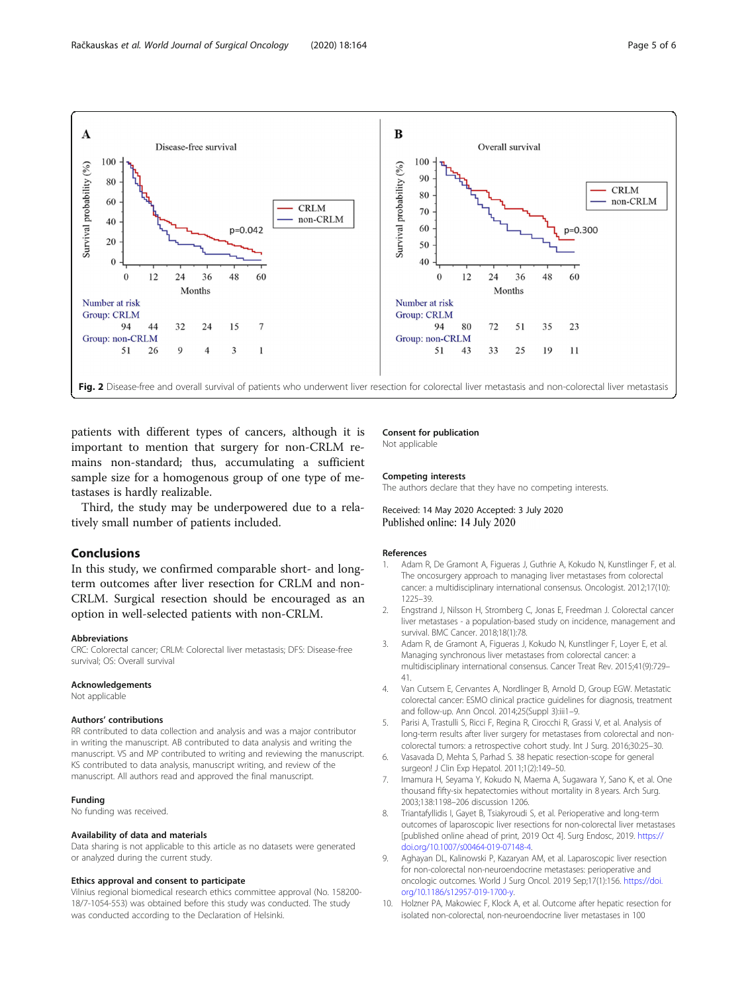<span id="page-4-0"></span>

patients with different types of cancers, although it is important to mention that surgery for non-CRLM remains non-standard; thus, accumulating a sufficient sample size for a homogenous group of one type of metastases is hardly realizable.

Third, the study may be underpowered due to a relatively small number of patients included.

# Conclusions

In this study, we confirmed comparable short- and longterm outcomes after liver resection for CRLM and non-CRLM. Surgical resection should be encouraged as an option in well-selected patients with non-CRLM.

#### Abbreviations

CRC: Colorectal cancer; CRLM: Colorectal liver metastasis; DFS: Disease-free survival; OS: Overall survival

#### Acknowledgements

Not applicable

#### Authors' contributions

RR contributed to data collection and analysis and was a major contributor in writing the manuscript. AB contributed to data analysis and writing the manuscript. VS and MP contributed to writing and reviewing the manuscript. KS contributed to data analysis, manuscript writing, and review of the manuscript. All authors read and approved the final manuscript.

#### Funding

No funding was received.

### Availability of data and materials

Data sharing is not applicable to this article as no datasets were generated or analyzed during the current study.

## Ethics approval and consent to participate

Vilnius regional biomedical research ethics committee approval (No. 158200- 18/7-1054-553) was obtained before this study was conducted. The study was conducted according to the Declaration of Helsinki.

#### Consent for publication Not applicable

#### Competing interests

The authors declare that they have no competing interests.

Received: 14 May 2020 Accepted: 3 July 2020 Published online: 14 July 2020

#### References

- 1. Adam R, De Gramont A, Figueras J, Guthrie A, Kokudo N, Kunstlinger F, et al. The oncosurgery approach to managing liver metastases from colorectal cancer: a multidisciplinary international consensus. Oncologist. 2012;17(10): 1225–39.
- 2. Engstrand J, Nilsson H, Stromberg C, Jonas E, Freedman J. Colorectal cancer liver metastases - a population-based study on incidence, management and survival. BMC Cancer. 2018;18(1):78.
- 3. Adam R, de Gramont A, Figueras J, Kokudo N, Kunstlinger F, Loyer E, et al. Managing synchronous liver metastases from colorectal cancer: a multidisciplinary international consensus. Cancer Treat Rev. 2015;41(9):729– 41.
- 4. Van Cutsem E, Cervantes A, Nordlinger B, Arnold D, Group EGW. Metastatic colorectal cancer: ESMO clinical practice guidelines for diagnosis, treatment and follow-up. Ann Oncol. 2014;25(Suppl 3):iii1–9.
- 5. Parisi A, Trastulli S, Ricci F, Regina R, Cirocchi R, Grassi V, et al. Analysis of long-term results after liver surgery for metastases from colorectal and noncolorectal tumors: a retrospective cohort study. Int J Surg. 2016;30:25–30.
- 6. Vasavada D, Mehta S, Parhad S. 38 hepatic resection-scope for general surgeon! J Clin Exp Hepatol. 2011;1(2):149–50.
- 7. Imamura H, Seyama Y, Kokudo N, Maema A, Sugawara Y, Sano K, et al. One thousand fifty-six hepatectomies without mortality in 8 years. Arch Surg. 2003;138:1198–206 discussion 1206.
- 8. Triantafyllidis I, Gayet B, Tsiakyroudi S, et al. Perioperative and long-term outcomes of laparoscopic liver resections for non-colorectal liver metastases [published online ahead of print, 2019 Oct 4]. Surg Endosc, 2019. [https://](https://doi.org/10.1007/s00464-019-07148-4) [doi.org/10.1007/s00464-019-07148-4.](https://doi.org/10.1007/s00464-019-07148-4)
- 9. Aghayan DL, Kalinowski P, Kazaryan AM, et al. Laparoscopic liver resection for non-colorectal non-neuroendocrine metastases: perioperative and oncologic outcomes. World J Surg Oncol. 2019 Sep;17(1):156. [https://doi.](https://doi.org/10.1186/s12957-019-1700-y) [org/10.1186/s12957-019-1700-y.](https://doi.org/10.1186/s12957-019-1700-y)
- 10. Holzner PA, Makowiec F, Klock A, et al. Outcome after hepatic resection for isolated non-colorectal, non-neuroendocrine liver metastases in 100